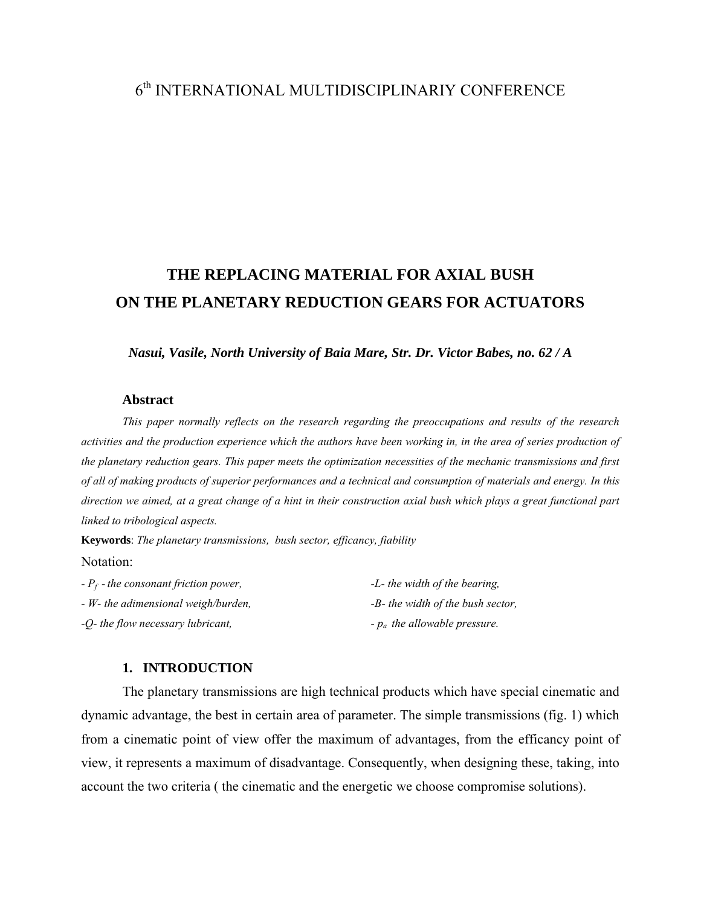## 6th INTERNATIONAL MULTIDISCIPLINARIY CONFERENCE

# **THE REPLACING MATERIAL FOR AXIAL BUSH ON THE PLANETARY REDUCTION GEARS FOR ACTUATORS**

*Nasui, Vasile, North University of Baia Mare, Str. Dr. Victor Babes, no. 62 / A* 

#### **Abstract**

*This paper normally reflects on the research regarding the preoccupations and results of the research activities and the production experience which the authors have been working in, in the area of series production of the planetary reduction gears. This paper meets the optimization necessities of the mechanic transmissions and first of all of making products of superior performances and a technical and consumption of materials and energy. In this direction we aimed, at a great change of a hint in their construction axial bush which plays a great functional part linked to tribological aspects.* 

**Keywords**: *The planetary transmissions, bush sector, efficancy, fiability* Notation:

| $- P_f$ - the consonant friction power, | -L- the width of the bearing,        |
|-----------------------------------------|--------------------------------------|
| - W- the adimensional weigh/burden,     | $-B$ - the width of the bush sector, |
| -Q- the flow necessary lubricant,       | $-p_a$ the allowable pressure.       |

#### **1. INTRODUCTION**

The planetary transmissions are high technical products which have special cinematic and dynamic advantage, the best in certain area of parameter. The simple transmissions (fig. 1) which from a cinematic point of view offer the maximum of advantages, from the efficancy point of view, it represents a maximum of disadvantage. Consequently, when designing these, taking, into account the two criteria ( the cinematic and the energetic we choose compromise solutions).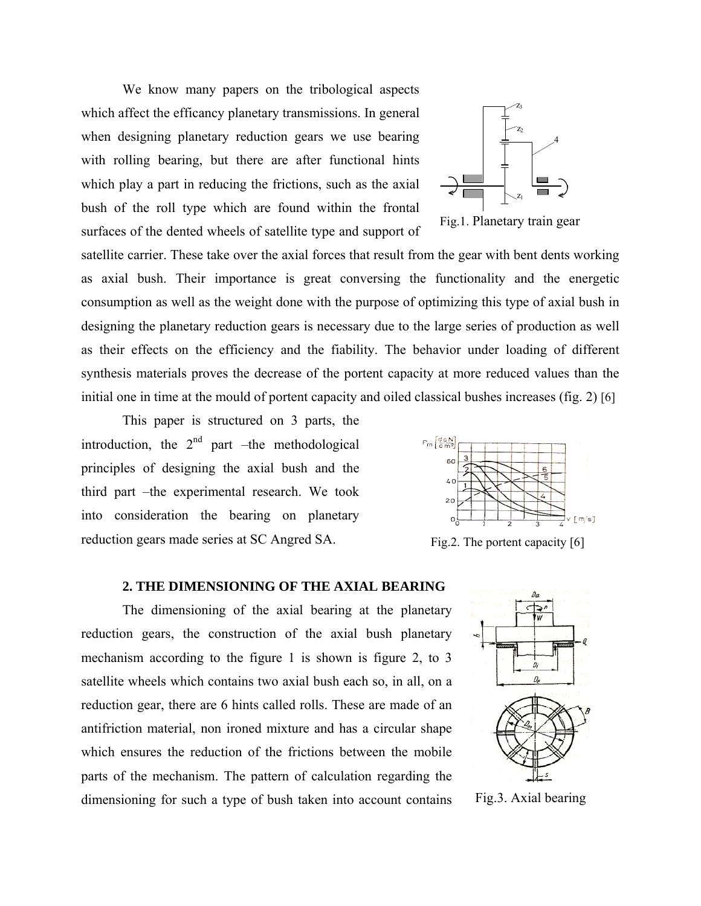We know many papers on the tribological aspects which affect the efficancy planetary transmissions. In general when designing planetary reduction gears we use bearing with rolling bearing, but there are after functional hints which play a part in reducing the frictions, such as the axial bush of the roll type which are found within the frontal surfaces of the dented wheels of satellite type and support of



Fig.1. Planetary train gear

satellite carrier. These take over the axial forces that result from the gear with bent dents working as axial bush. Their importance is great conversing the functionality and the energetic consumption as well as the weight done with the purpose of optimizing this type of axial bush in designing the planetary reduction gears is necessary due to the large series of production as well as their effects on the efficiency and the fiability. The behavior under loading of different synthesis materials proves the decrease of the portent capacity at more reduced values than the initial one in time at the mould of portent capacity and oiled classical bushes increases (fig. 2) [6]

 This paper is structured on 3 parts, the introduction, the  $2<sup>nd</sup>$  part –the methodological principles of designing the axial bush and the third part –the experimental research. We took into consideration the bearing on planetary reduction gears made series at SC Angred SA. Fig.2. The portent capacity [6]



## **2. THE DIMENSIONING OF THE AXIAL BEARING**

The dimensioning of the axial bearing at the planetary reduction gears, the construction of the axial bush planetary mechanism according to the figure 1 is shown is figure 2, to 3 satellite wheels which contains two axial bush each so, in all, on a reduction gear, there are 6 hints called rolls. These are made of an antifriction material, non ironed mixture and has a circular shape which ensures the reduction of the frictions between the mobile parts of the mechanism. The pattern of calculation regarding the dimensioning for such a type of bush taken into account contains Fig.3. Axial bearing

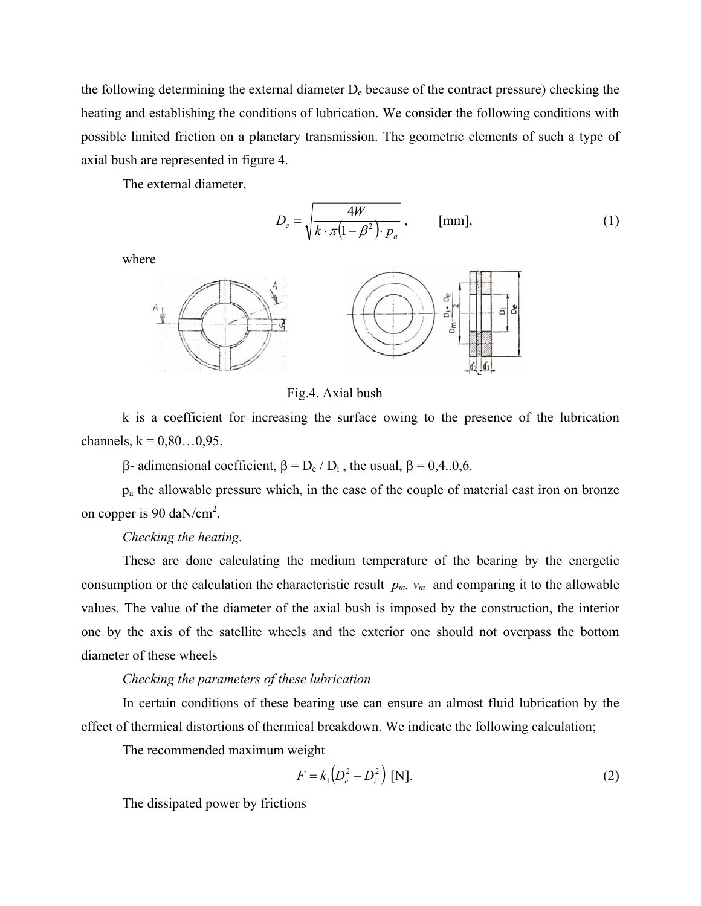the following determining the external diameter  $D<sub>e</sub>$  because of the contract pressure) checking the heating and establishing the conditions of lubrication. We consider the following conditions with possible limited friction on a planetary transmission. The geometric elements of such a type of axial bush are represented in figure 4.

The external diameter,

$$
D_e = \sqrt{\frac{4W}{k \cdot \pi (1 - \beta^2) \cdot p_a}}, \quad \text{[mm]},
$$
 (1)

where



Fig.4. Axial bush

k is a coefficient for increasing the surface owing to the presence of the lubrication channels,  $k = 0.80...0.95$ .

β- adimensional coefficient,  $β = D_e / D_i$ , the usual,  $β = 0,4..0,6$ .

pa the allowable pressure which, in the case of the couple of material cast iron on bronze on copper is 90 daN/cm<sup>2</sup>.

## *Checking the heating.*

These are done calculating the medium temperature of the bearing by the energetic consumption or the calculation the characteristic result  $p_m$ .  $v_m$  and comparing it to the allowable values. The value of the diameter of the axial bush is imposed by the construction, the interior one by the axis of the satellite wheels and the exterior one should not overpass the bottom diameter of these wheels

## *Checking the parameters of these lubrication*

In certain conditions of these bearing use can ensure an almost fluid lubrication by the effect of thermical distortions of thermical breakdown. We indicate the following calculation;

The recommended maximum weight

$$
F = k_1 \left( D_e^2 - D_i^2 \right) \text{ [N]}.
$$
 (2)

The dissipated power by frictions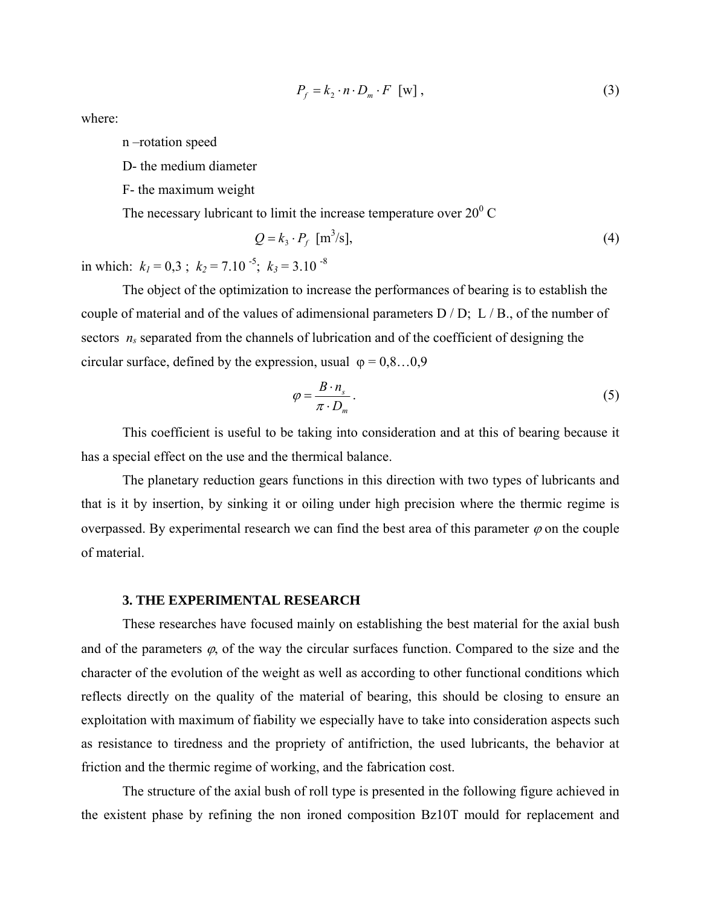$$
P_f = k_2 \cdot n \cdot D_m \cdot F \quad \text{[w]},
$$
\n<sup>(3)</sup>

where:

n –rotation speed

D- the medium diameter

F- the maximum weight

The necessary lubricant to limit the increase temperature over  $20^0$  C

$$
Q = k_3 \cdot P_f \quad [m^3/s],\tag{4}
$$

in which:  $k_1 = 0.3$ ;  $k_2 = 7.10^{-5}$ ;  $k_3 = 3.10^{-8}$ 

The object of the optimization to increase the performances of bearing is to establish the couple of material and of the values of adimensional parameters D / D; L / B., of the number of sectors  $n_s$  separated from the channels of lubrication and of the coefficient of designing the circular surface, defined by the expression, usual  $\varphi = 0.8...0.9$ 

$$
\varphi = \frac{B \cdot n_s}{\pi \cdot D_m} \,. \tag{5}
$$

This coefficient is useful to be taking into consideration and at this of bearing because it has a special effect on the use and the thermical balance.

The planetary reduction gears functions in this direction with two types of lubricants and that is it by insertion, by sinking it or oiling under high precision where the thermic regime is overpassed. By experimental research we can find the best area of this parameter  $\varphi$  on the couple of material.

#### **3. THE EXPERIMENTAL RESEARCH**

These researches have focused mainly on establishing the best material for the axial bush and of the parameters  $\varphi$ , of the way the circular surfaces function. Compared to the size and the character of the evolution of the weight as well as according to other functional conditions which reflects directly on the quality of the material of bearing, this should be closing to ensure an exploitation with maximum of fiability we especially have to take into consideration aspects such as resistance to tiredness and the propriety of antifriction, the used lubricants, the behavior at friction and the thermic regime of working, and the fabrication cost.

The structure of the axial bush of roll type is presented in the following figure achieved in the existent phase by refining the non ironed composition Bz10T mould for replacement and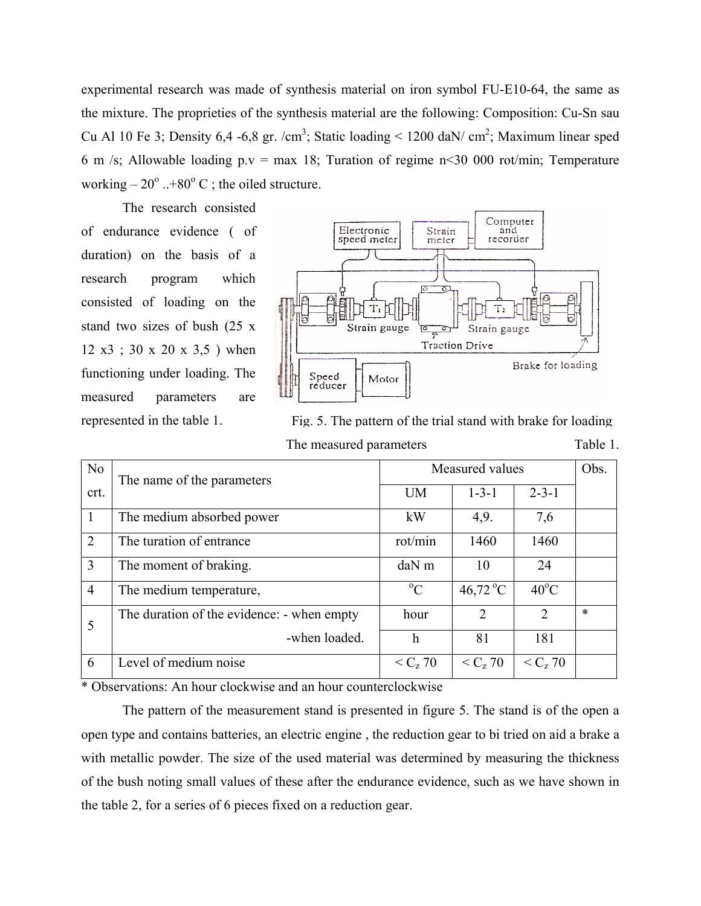experimental research was made of synthesis material on iron symbol FU-E10-64, the same as the mixture. The proprieties of the synthesis material are the following: Composition: Cu-Sn sau Cu Al 10 Fe 3; Density 6,4 -6,8 gr. /cm<sup>3</sup>; Static loading < 1200 daN/ cm<sup>2</sup>; Maximum linear sped 6 m /s; Allowable loading p.v = max 18; Turation of regime  $n \le 30,000$  rot/min; Temperature working  $-20^{\circ}$  ..+80° C; the oiled structure.

The research consisted of endurance evidence ( of duration) on the basis of a research program which consisted of loading on the stand two sizes of bush (25 x 12 x3 ; 30 x 20 x 3,5 ) when functioning under loading. The measured parameters are



represented in the table 1. Fig. 5. The pattern of the trial stand with brake for loading The measured parameters Table 1.

| N <sub>o</sub> | The name of the parameters                 | Measured values |               |                       | Obs.   |
|----------------|--------------------------------------------|-----------------|---------------|-----------------------|--------|
| crt.           |                                            | <b>UM</b>       | $1 - 3 - 1$   | $2 - 3 - 1$           |        |
| $\overline{1}$ | The medium absorbed power                  | kW              | 4,9.          | 7,6                   |        |
| 2              | The turation of entrance                   | rot/min         | 1460          | 1460                  |        |
| 3              | The moment of braking.                     | $d$ a $N$ m     | 10            | 24                    |        |
| $\overline{4}$ | The medium temperature,                    | $\rm ^{o}C$     | 46,72 °C      | $40^{\circ}$ C        |        |
| 5              | The duration of the evidence: - when empty | hour            | $\mathcal{L}$ | $\overline{2}$        | $\ast$ |
|                | -when loaded.                              | h               | 81            | 181                   |        |
| 6              | Level of medium noise                      | $< C_{7} 70$    | $< C_{7} 70$  | $<$ C <sub>z</sub> 70 |        |

\* Observations: An hour clockwise and an hour counterclockwise

The pattern of the measurement stand is presented in figure 5. The stand is of the open a open type and contains batteries, an electric engine , the reduction gear to bi tried on aid a brake a with metallic powder. The size of the used material was determined by measuring the thickness of the bush noting small values of these after the endurance evidence, such as we have shown in the table 2, for a series of 6 pieces fixed on a reduction gear.